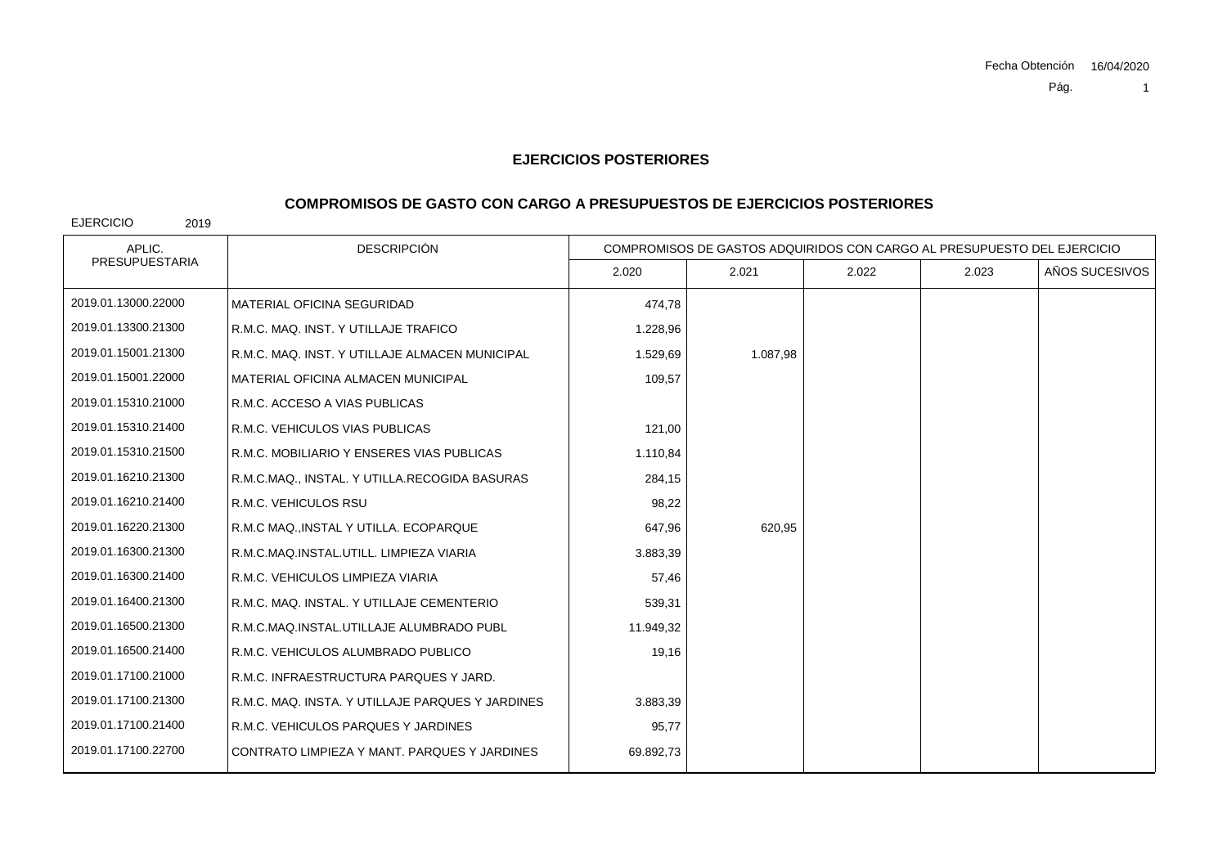### **COMPROMISOS DE GASTO CON CARGO A PRESUPUESTOS DE EJERCICIOS POSTERIORES**

| APLIC.                | <b>DESCRIPCIÓN</b>                               | COMPROMISOS DE GASTOS ADQUIRIDOS CON CARGO AL PRESUPUESTO DEL EJERCICIO |          |       |       |                |
|-----------------------|--------------------------------------------------|-------------------------------------------------------------------------|----------|-------|-------|----------------|
| <b>PRESUPUESTARIA</b> |                                                  | 2.020                                                                   | 2.021    | 2.022 | 2.023 | AÑOS SUCESIVOS |
| 2019.01.13000.22000   | <b>MATERIAL OFICINA SEGURIDAD</b>                | 474,78                                                                  |          |       |       |                |
| 2019.01.13300.21300   | R.M.C. MAQ. INST. Y UTILLAJE TRAFICO             | 1.228,96                                                                |          |       |       |                |
| 2019.01.15001.21300   | R.M.C. MAQ. INST. Y UTILLAJE ALMACEN MUNICIPAL   | 1.529,69                                                                | 1.087,98 |       |       |                |
| 2019.01.15001.22000   | MATERIAL OFICINA ALMACEN MUNICIPAL               | 109,57                                                                  |          |       |       |                |
| 2019.01.15310.21000   | R.M.C. ACCESO A VIAS PUBLICAS                    |                                                                         |          |       |       |                |
| 2019.01.15310.21400   | R.M.C. VEHICULOS VIAS PUBLICAS                   | 121,00                                                                  |          |       |       |                |
| 2019.01.15310.21500   | R.M.C. MOBILIARIO Y ENSERES VIAS PUBLICAS        | 1.110,84                                                                |          |       |       |                |
| 2019.01.16210.21300   | R.M.C.MAQ., INSTAL. Y UTILLA.RECOGIDA BASURAS    | 284,15                                                                  |          |       |       |                |
| 2019.01.16210.21400   | R.M.C. VEHICULOS RSU                             | 98,22                                                                   |          |       |       |                |
| 2019.01.16220.21300   | R.M.C MAQ., INSTAL Y UTILLA. ECOPARQUE           | 647,96                                                                  | 620,95   |       |       |                |
| 2019.01.16300.21300   | R.M.C.MAQ.INSTAL.UTILL. LIMPIEZA VIARIA          | 3.883,39                                                                |          |       |       |                |
| 2019.01.16300.21400   | R.M.C. VEHICULOS LIMPIEZA VIARIA                 | 57,46                                                                   |          |       |       |                |
| 2019.01.16400.21300   | R.M.C. MAQ. INSTAL. Y UTILLAJE CEMENTERIO        | 539,31                                                                  |          |       |       |                |
| 2019.01.16500.21300   | R.M.C.MAQ.INSTAL.UTILLAJE ALUMBRADO PUBL         | 11.949,32                                                               |          |       |       |                |
| 2019.01.16500.21400   | R.M.C. VEHICULOS ALUMBRADO PUBLICO               | 19,16                                                                   |          |       |       |                |
| 2019.01.17100.21000   | R.M.C. INFRAESTRUCTURA PARQUES Y JARD.           |                                                                         |          |       |       |                |
| 2019.01.17100.21300   | R.M.C. MAQ. INSTA. Y UTILLAJE PARQUES Y JARDINES | 3.883,39                                                                |          |       |       |                |
| 2019.01.17100.21400   | R.M.C. VEHICULOS PARQUES Y JARDINES              | 95,77                                                                   |          |       |       |                |
| 2019.01.17100.22700   | CONTRATO LIMPIEZA Y MANT. PARQUES Y JARDINES     | 69.892,73                                                               |          |       |       |                |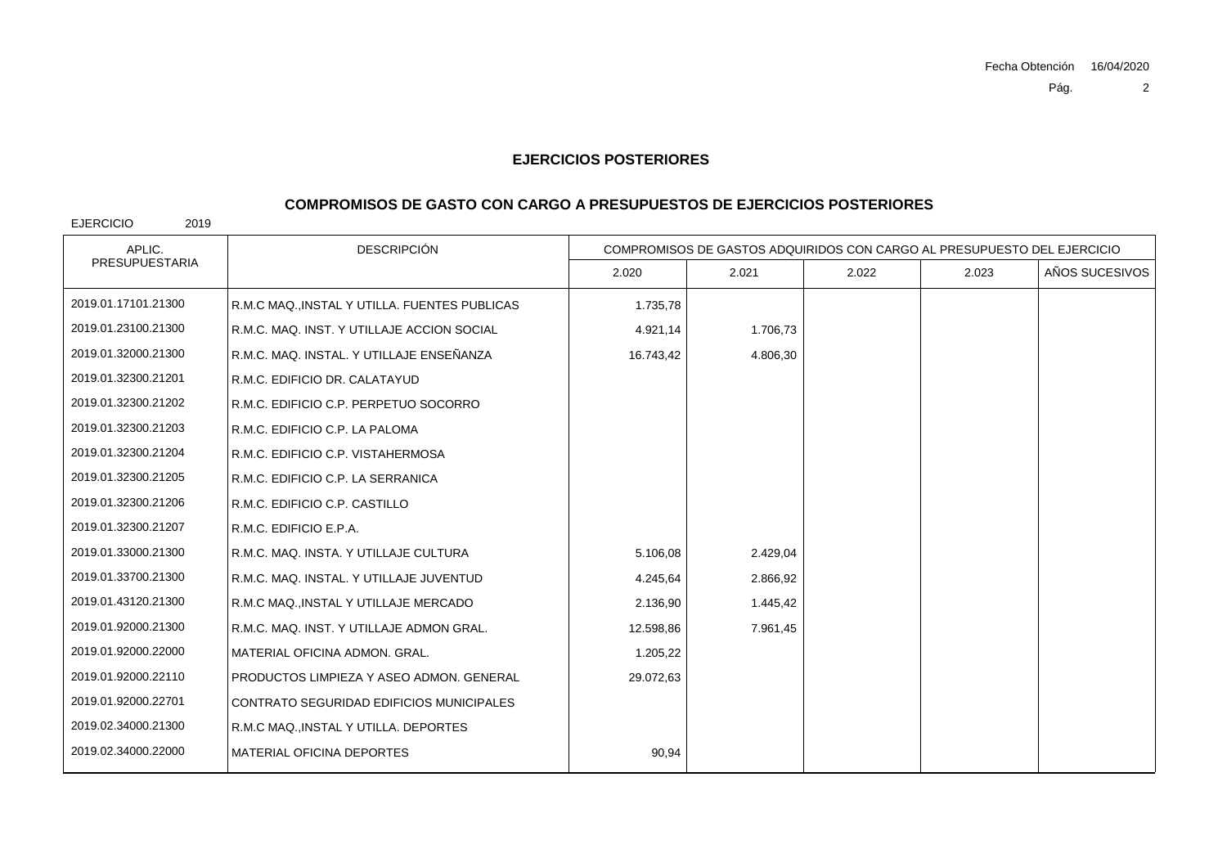## **COMPROMISOS DE GASTO CON CARGO A PRESUPUESTOS DE EJERCICIOS POSTERIORES**

| APLIC.                | <b>DESCRIPCIÓN</b>                            | COMPROMISOS DE GASTOS ADQUIRIDOS CON CARGO AL PRESUPUESTO DEL EJERCICIO |          |       |       |                |
|-----------------------|-----------------------------------------------|-------------------------------------------------------------------------|----------|-------|-------|----------------|
| <b>PRESUPUESTARIA</b> |                                               | 2.020                                                                   | 2.021    | 2.022 | 2.023 | AÑOS SUCESIVOS |
| 2019.01.17101.21300   | R.M.C MAQ., INSTAL Y UTILLA. FUENTES PUBLICAS | 1.735,78                                                                |          |       |       |                |
| 2019.01.23100.21300   | R.M.C. MAQ. INST. Y UTILLAJE ACCION SOCIAL    | 4.921,14                                                                | 1.706,73 |       |       |                |
| 2019.01.32000.21300   | R.M.C. MAQ. INSTAL. Y UTILLAJE ENSEÑANZA      | 16.743,42                                                               | 4.806,30 |       |       |                |
| 2019.01.32300.21201   | R.M.C. EDIFICIO DR. CALATAYUD                 |                                                                         |          |       |       |                |
| 2019.01.32300.21202   | R.M.C. EDIFICIO C.P. PERPETUO SOCORRO         |                                                                         |          |       |       |                |
| 2019.01.32300.21203   | R.M.C. EDIFICIO C.P. LA PALOMA                |                                                                         |          |       |       |                |
| 2019.01.32300.21204   | R.M.C. EDIFICIO C.P. VISTAHERMOSA             |                                                                         |          |       |       |                |
| 2019.01.32300.21205   | R.M.C. EDIFICIO C.P. LA SERRANICA             |                                                                         |          |       |       |                |
| 2019.01.32300.21206   | R.M.C. EDIFICIO C.P. CASTILLO                 |                                                                         |          |       |       |                |
| 2019.01.32300.21207   | R.M.C. EDIFICIO E.P.A.                        |                                                                         |          |       |       |                |
| 2019.01.33000.21300   | R.M.C. MAQ. INSTA. Y UTILLAJE CULTURA         | 5.106,08                                                                | 2.429,04 |       |       |                |
| 2019.01.33700.21300   | R.M.C. MAQ. INSTAL. Y UTILLAJE JUVENTUD       | 4.245,64                                                                | 2.866,92 |       |       |                |
| 2019.01.43120.21300   | R.M.C MAQ., INSTAL Y UTILLAJE MERCADO         | 2.136,90                                                                | 1.445,42 |       |       |                |
| 2019.01.92000.21300   | R.M.C. MAQ. INST. Y UTILLAJE ADMON GRAL.      | 12.598,86                                                               | 7.961,45 |       |       |                |
| 2019.01.92000.22000   | MATERIAL OFICINA ADMON. GRAL.                 | 1.205,22                                                                |          |       |       |                |
| 2019.01.92000.22110   | PRODUCTOS LIMPIEZA Y ASEO ADMON. GENERAL      | 29.072,63                                                               |          |       |       |                |
| 2019.01.92000.22701   | CONTRATO SEGURIDAD EDIFICIOS MUNICIPALES      |                                                                         |          |       |       |                |
| 2019.02.34000.21300   | R.M.C MAQ., INSTAL Y UTILLA. DEPORTES         |                                                                         |          |       |       |                |
| 2019.02.34000.22000   | MATERIAL OFICINA DEPORTES                     | 90,94                                                                   |          |       |       |                |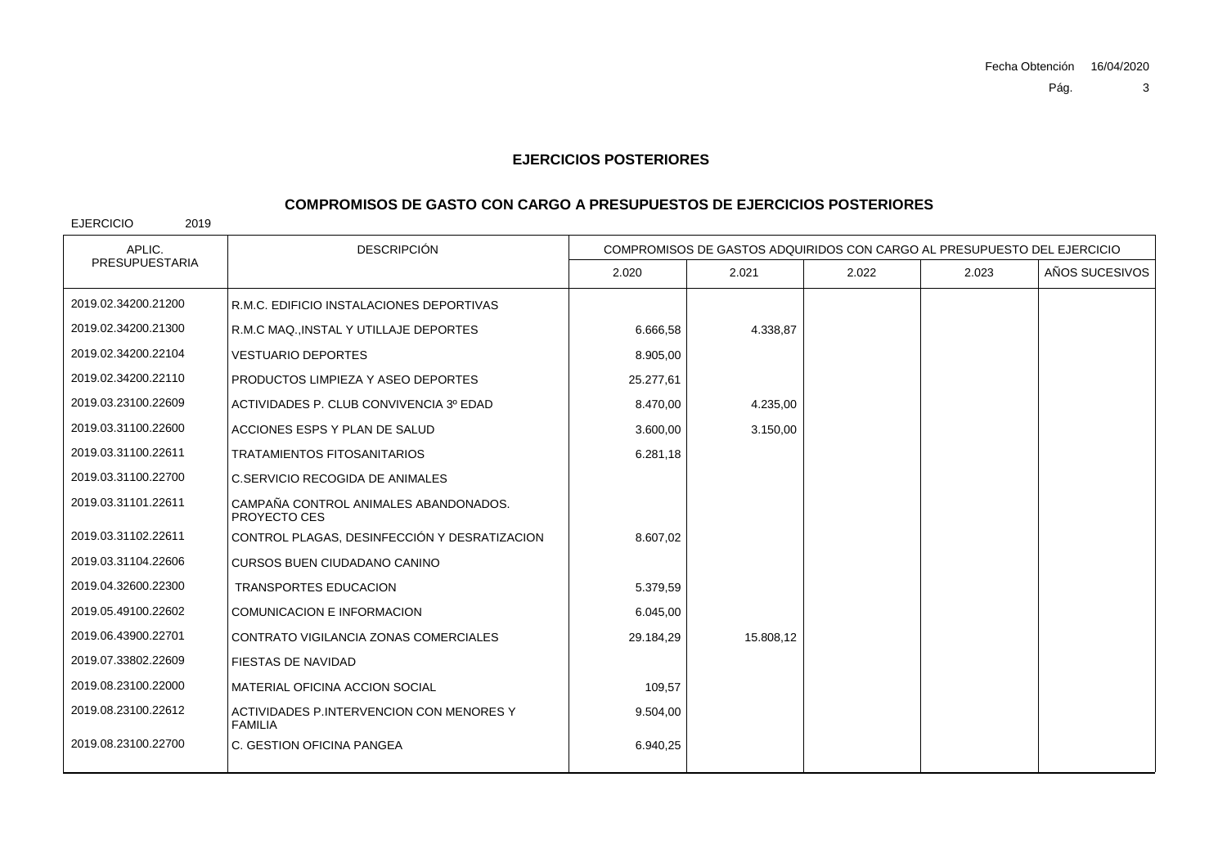### **COMPROMISOS DE GASTO CON CARGO A PRESUPUESTOS DE EJERCICIOS POSTERIORES**

| APLIC.                | <b>DESCRIPCIÓN</b>                                         | COMPROMISOS DE GASTOS ADQUIRIDOS CON CARGO AL PRESUPUESTO DEL EJERCICIO |           |       |       |                |
|-----------------------|------------------------------------------------------------|-------------------------------------------------------------------------|-----------|-------|-------|----------------|
| <b>PRESUPUESTARIA</b> |                                                            | 2.020                                                                   | 2.021     | 2.022 | 2.023 | AÑOS SUCESIVOS |
| 2019.02.34200.21200   | R.M.C. EDIFICIO INSTALACIONES DEPORTIVAS                   |                                                                         |           |       |       |                |
| 2019.02.34200.21300   | R.M.C MAQ., INSTAL Y UTILLAJE DEPORTES                     | 6.666,58                                                                | 4.338,87  |       |       |                |
| 2019.02.34200.22104   | <b>VESTUARIO DEPORTES</b>                                  | 8.905,00                                                                |           |       |       |                |
| 2019.02.34200.22110   | PRODUCTOS LIMPIEZA Y ASEO DEPORTES                         | 25.277,61                                                               |           |       |       |                |
| 2019.03.23100.22609   | ACTIVIDADES P. CLUB CONVIVENCIA 3º EDAD                    | 8.470,00                                                                | 4.235,00  |       |       |                |
| 2019.03.31100.22600   | ACCIONES ESPS Y PLAN DE SALUD                              | 3.600,00                                                                | 3.150,00  |       |       |                |
| 2019.03.31100.22611   | TRATAMIENTOS FITOSANITARIOS                                | 6.281,18                                                                |           |       |       |                |
| 2019.03.31100.22700   | C.SERVICIO RECOGIDA DE ANIMALES                            |                                                                         |           |       |       |                |
| 2019.03.31101.22611   | CAMPAÑA CONTROL ANIMALES ABANDONADOS.<br>PROYECTO CES      |                                                                         |           |       |       |                |
| 2019.03.31102.22611   | CONTROL PLAGAS, DESINFECCIÓN Y DESRATIZACION               | 8.607,02                                                                |           |       |       |                |
| 2019.03.31104.22606   | <b>CURSOS BUEN CIUDADANO CANINO</b>                        |                                                                         |           |       |       |                |
| 2019.04.32600.22300   | <b>TRANSPORTES EDUCACION</b>                               | 5.379,59                                                                |           |       |       |                |
| 2019.05.49100.22602   | <b>COMUNICACION E INFORMACION</b>                          | 6.045,00                                                                |           |       |       |                |
| 2019.06.43900.22701   | CONTRATO VIGILANCIA ZONAS COMERCIALES                      | 29.184,29                                                               | 15.808,12 |       |       |                |
| 2019.07.33802.22609   | <b>FIESTAS DE NAVIDAD</b>                                  |                                                                         |           |       |       |                |
| 2019.08.23100.22000   | MATERIAL OFICINA ACCION SOCIAL                             | 109,57                                                                  |           |       |       |                |
| 2019.08.23100.22612   | ACTIVIDADES P.INTERVENCION CON MENORES Y<br><b>FAMILIA</b> | 9.504,00                                                                |           |       |       |                |
| 2019.08.23100.22700   | C. GESTION OFICINA PANGEA                                  | 6.940,25                                                                |           |       |       |                |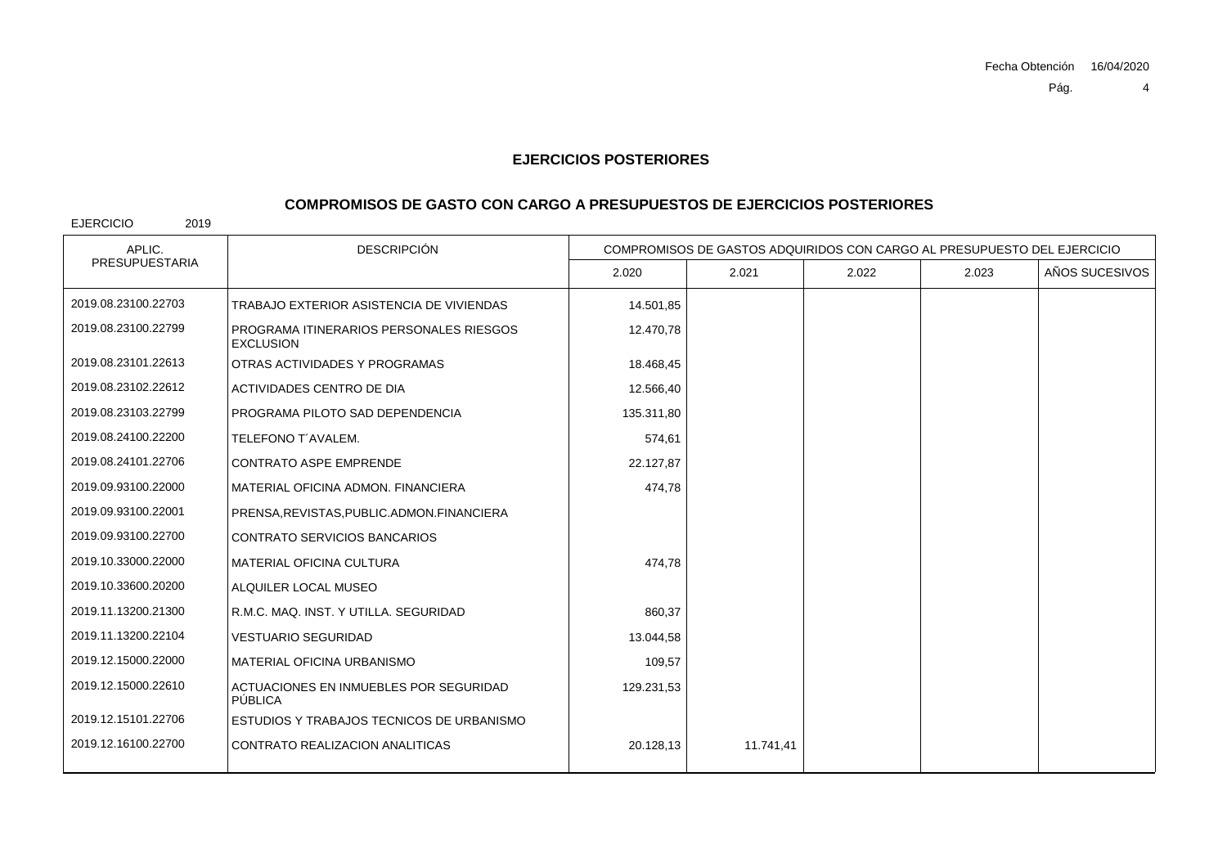## **COMPROMISOS DE GASTO CON CARGO A PRESUPUESTOS DE EJERCICIOS POSTERIORES**

| APLIC.                | <b>DESCRIPCIÓN</b>                                          |            | COMPROMISOS DE GASTOS ADQUIRIDOS CON CARGO AL PRESUPUESTO DEL EJERCICIO |       |       |                |
|-----------------------|-------------------------------------------------------------|------------|-------------------------------------------------------------------------|-------|-------|----------------|
| <b>PRESUPUESTARIA</b> |                                                             | 2.020      | 2.021                                                                   | 2.022 | 2.023 | AÑOS SUCESIVOS |
| 2019.08.23100.22703   | TRABAJO EXTERIOR ASISTENCIA DE VIVIENDAS                    | 14.501,85  |                                                                         |       |       |                |
| 2019.08.23100.22799   | PROGRAMA ITINERARIOS PERSONALES RIESGOS<br><b>EXCLUSION</b> | 12.470,78  |                                                                         |       |       |                |
| 2019.08.23101.22613   | OTRAS ACTIVIDADES Y PROGRAMAS                               | 18.468,45  |                                                                         |       |       |                |
| 2019.08.23102.22612   | ACTIVIDADES CENTRO DE DIA                                   | 12.566,40  |                                                                         |       |       |                |
| 2019.08.23103.22799   | PROGRAMA PILOTO SAD DEPENDENCIA                             | 135.311,80 |                                                                         |       |       |                |
| 2019.08.24100.22200   | TELEFONO T'AVALEM.                                          | 574,61     |                                                                         |       |       |                |
| 2019.08.24101.22706   | <b>CONTRATO ASPE EMPRENDE</b>                               | 22.127,87  |                                                                         |       |       |                |
| 2019.09.93100.22000   | MATERIAL OFICINA ADMON, FINANCIERA                          | 474,78     |                                                                         |       |       |                |
| 2019.09.93100.22001   | PRENSA, REVISTAS, PUBLIC. ADMON. FINANCIERA                 |            |                                                                         |       |       |                |
| 2019.09.93100.22700   | <b>CONTRATO SERVICIOS BANCARIOS</b>                         |            |                                                                         |       |       |                |
| 2019.10.33000.22000   | <b>MATERIAL OFICINA CULTURA</b>                             | 474,78     |                                                                         |       |       |                |
| 2019.10.33600.20200   | ALQUILER LOCAL MUSEO                                        |            |                                                                         |       |       |                |
| 2019.11.13200.21300   | R.M.C. MAQ. INST. Y UTILLA. SEGURIDAD                       | 860,37     |                                                                         |       |       |                |
| 2019.11.13200.22104   | <b>VESTUARIO SEGURIDAD</b>                                  | 13.044,58  |                                                                         |       |       |                |
| 2019.12.15000.22000   | MATERIAL OFICINA URBANISMO                                  | 109,57     |                                                                         |       |       |                |
| 2019.12.15000.22610   | ACTUACIONES EN INMUEBLES POR SEGURIDAD<br>PÚBLICA           | 129.231,53 |                                                                         |       |       |                |
| 2019.12.15101.22706   | ESTUDIOS Y TRABAJOS TECNICOS DE URBANISMO                   |            |                                                                         |       |       |                |
| 2019.12.16100.22700   | CONTRATO REALIZACION ANALITICAS                             | 20.128,13  | 11.741,41                                                               |       |       |                |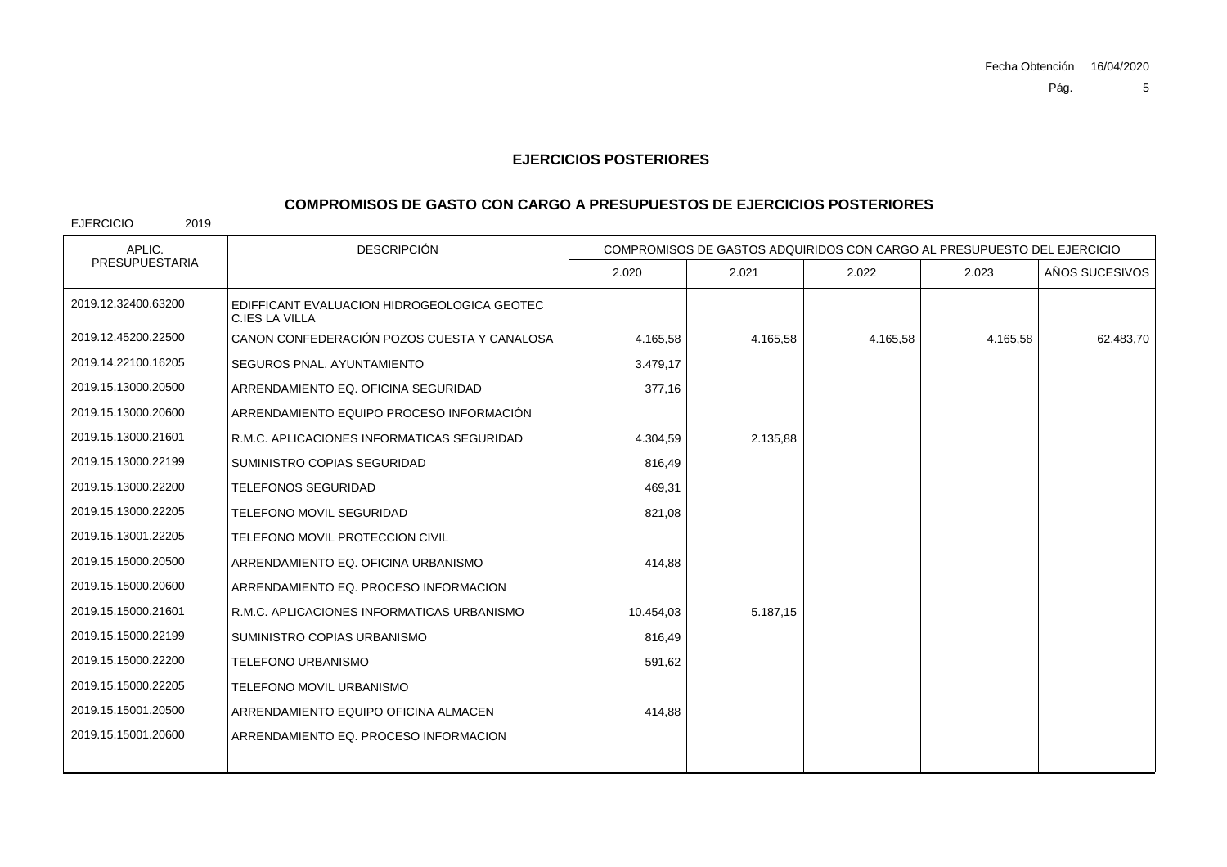#### **COMPROMISOS DE GASTO CON CARGO A PRESUPUESTOS DE EJERCICIOS POSTERIORES**

EJERCICIO 2019

DESCRIPCIÓN2.020 2.021 2.022 2.023 AÑOS SUCESIVOS APLIC. COMPROMISOS DE GASTOS ADQUIRIDOS CON CARGO AL PRESUPUESTO DEL EJERCICIOPRESUPUESTARIAEDIFFICANT EVALUACION HIDROGEOLOGICA GEOTEC C.IES LA VILLA2019.12.32400.632002019.12.45200.22500 CANON CONFEDERACIÓN POZOS CUESTA Y CANALOSA $\mathsf{A} \left[ \begin{array}{ccc} 4.165,58 \end{array} \right] \quad \quad \quad \mathsf{4.165,58} \left[ \begin{array}{ccc} 4.165,58 \end{array} \right] \quad \quad \quad \mathsf{4.165,58} \left[ \begin{array}{ccc} 62.483,70 \end{array} \right] \quad \quad \quad \mathsf{4.165,58} \left[ \begin{array}{ccc} 4.165,58 \end{array} \right] \quad \quad \quad \mathsf{4.165,58} \left[ \begin{array}{ccc} 4.165,58 \end{array} \right] \quad$ 2019.14.22100.16205 SEGUROS PNAL. AYUNTAMIENTO $\overline{O}$  3.479,17 2019.15.13000.20500 ARRENDAMIENTO EQ. OFICINA SEGURIDAD 377,16 2019.15.13000.20600 ARRENDAMIENTO EQUIPO PROCESO INFORMACIÓN2019.15.13000.21601 R.M.C. APLICACIONES INFORMATICAS SEGURIDADD 4.304,59 2.135,88 2019.15.13000.22199 SUMINISTRO COPIAS SEGURIDADD 816,49 2019.15.13000.22200 TELEFONOS SEGURIDAD $\overline{D}$  469,31 2019.15.13000.22205 TELEFONO MOVIL SEGURIDADD 821,08 2019.15.13001.22205 TELEFONO MOVIL PROTECCION CIVIL2019.15.15000.20500 ARRENDAMIENTO EQ. OFICINA URBANISMOO 414,88 2019.15.15000.20600 ARRENDAMIENTO EQ. PROCESO INFORMACION2019.15.15000.21601 R.M.C. APLICACIONES INFORMATICAS URBANISMO 10.454,03 5.187,15 2019.15.15000.22199 SUMINISTRO COPIAS URBANISMOO 816,49 2019.15.15000.22200 TELEFONO URBANISMOO 591,62 2019.15.15000.22205 TELEFONO MOVIL URBANISMO2019.15.15001.20500 ARRENDAMIENTO EQUIPO OFICINA ALMACEN 414,88 2019.15.15001.20600ARRENDAMIENTO EQ. PROCESO INFORMACION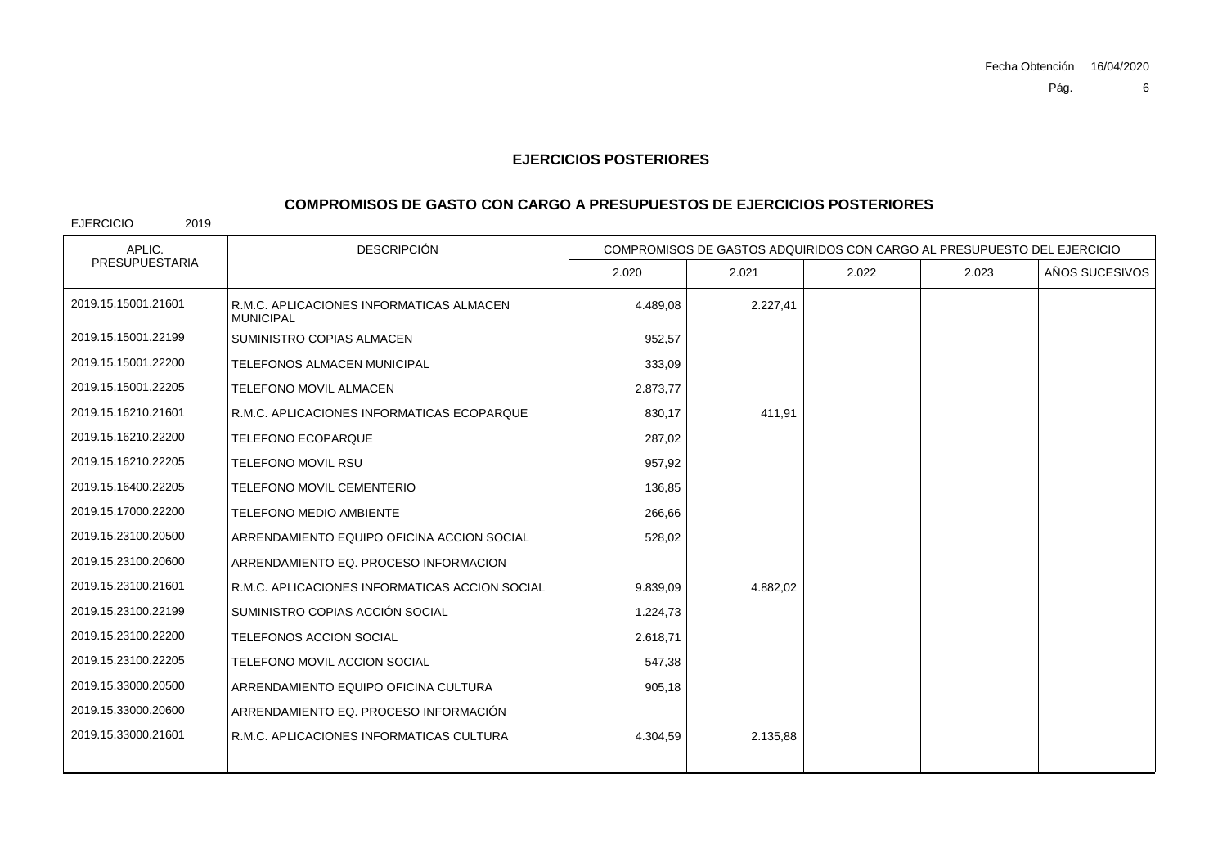## **COMPROMISOS DE GASTO CON CARGO A PRESUPUESTOS DE EJERCICIOS POSTERIORES**

| APLIC.                | <b>DESCRIPCIÓN</b>                                           | COMPROMISOS DE GASTOS ADQUIRIDOS CON CARGO AL PRESUPUESTO DEL EJERCICIO |          |       |       |                |
|-----------------------|--------------------------------------------------------------|-------------------------------------------------------------------------|----------|-------|-------|----------------|
| <b>PRESUPUESTARIA</b> |                                                              | 2.020                                                                   | 2.021    | 2.022 | 2.023 | AÑOS SUCESIVOS |
| 2019.15.15001.21601   | R.M.C. APLICACIONES INFORMATICAS ALMACEN<br><b>MUNICIPAL</b> | 4.489.08                                                                | 2.227,41 |       |       |                |
| 2019.15.15001.22199   | SUMINISTRO COPIAS ALMACEN                                    | 952,57                                                                  |          |       |       |                |
| 2019.15.15001.22200   | TELEFONOS ALMACEN MUNICIPAL                                  | 333,09                                                                  |          |       |       |                |
| 2019.15.15001.22205   | TELEFONO MOVIL ALMACEN                                       | 2.873,77                                                                |          |       |       |                |
| 2019.15.16210.21601   | R.M.C. APLICACIONES INFORMATICAS ECOPARQUE                   | 830,17                                                                  | 411,91   |       |       |                |
| 2019.15.16210.22200   | <b>TELEFONO ECOPARQUE</b>                                    | 287,02                                                                  |          |       |       |                |
| 2019.15.16210.22205   | <b>TELEFONO MOVIL RSU</b>                                    | 957,92                                                                  |          |       |       |                |
| 2019.15.16400.22205   | <b>TELEFONO MOVIL CEMENTERIO</b>                             | 136,85                                                                  |          |       |       |                |
| 2019.15.17000.22200   | <b>TELEFONO MEDIO AMBIENTE</b>                               | 266,66                                                                  |          |       |       |                |
| 2019.15.23100.20500   | ARRENDAMIENTO EQUIPO OFICINA ACCION SOCIAL                   | 528,02                                                                  |          |       |       |                |
| 2019.15.23100.20600   | ARRENDAMIENTO EQ. PROCESO INFORMACION                        |                                                                         |          |       |       |                |
| 2019.15.23100.21601   | R.M.C. APLICACIONES INFORMATICAS ACCION SOCIAL               | 9.839,09                                                                | 4.882,02 |       |       |                |
| 2019.15.23100.22199   | SUMINISTRO COPIAS ACCIÓN SOCIAL                              | 1.224,73                                                                |          |       |       |                |
| 2019.15.23100.22200   | TELEFONOS ACCION SOCIAL                                      | 2.618,71                                                                |          |       |       |                |
| 2019.15.23100.22205   | TELEFONO MOVIL ACCION SOCIAL                                 | 547,38                                                                  |          |       |       |                |
| 2019.15.33000.20500   | ARRENDAMIENTO EQUIPO OFICINA CULTURA                         | 905,18                                                                  |          |       |       |                |
| 2019.15.33000.20600   | ARRENDAMIENTO EQ. PROCESO INFORMACIÓN                        |                                                                         |          |       |       |                |
| 2019.15.33000.21601   | R.M.C. APLICACIONES INFORMATICAS CULTURA                     | 4.304,59                                                                | 2.135,88 |       |       |                |
|                       |                                                              |                                                                         |          |       |       |                |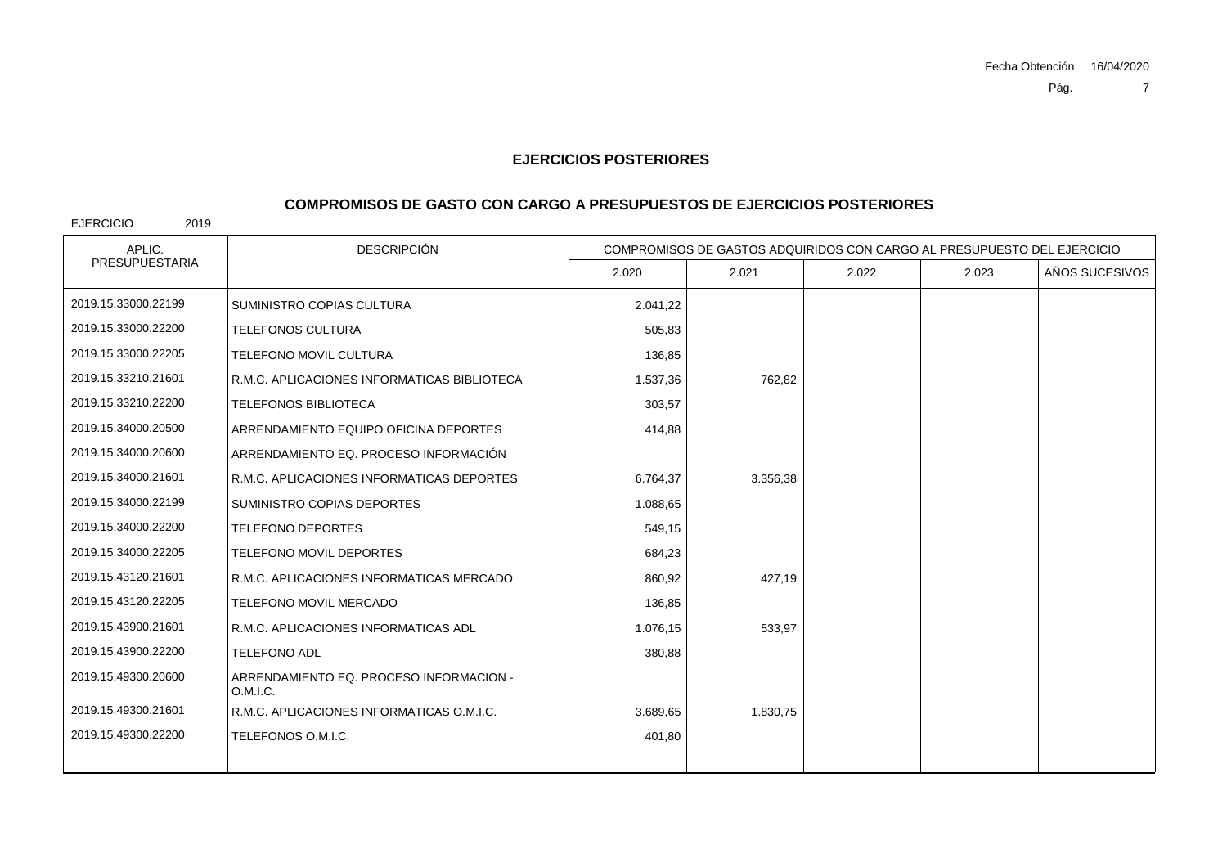# **COMPROMISOS DE GASTO CON CARGO A PRESUPUESTOS DE EJERCICIOS POSTERIORES**

| APLIC.                | <b>DESCRIPCIÓN</b>                                  | COMPROMISOS DE GASTOS ADQUIRIDOS CON CARGO AL PRESUPUESTO DEL EJERCICIO |          |       |       |                |
|-----------------------|-----------------------------------------------------|-------------------------------------------------------------------------|----------|-------|-------|----------------|
| <b>PRESUPUESTARIA</b> |                                                     | 2.020                                                                   | 2.021    | 2.022 | 2.023 | AÑOS SUCESIVOS |
| 2019.15.33000.22199   | SUMINISTRO COPIAS CULTURA                           | 2.041,22                                                                |          |       |       |                |
| 2019.15.33000.22200   | TELEFONOS CULTURA                                   | 505,83                                                                  |          |       |       |                |
| 2019.15.33000.22205   | <b>TELEFONO MOVIL CULTURA</b>                       | 136,85                                                                  |          |       |       |                |
| 2019.15.33210.21601   | R.M.C. APLICACIONES INFORMATICAS BIBLIOTECA         | 1.537,36                                                                | 762,82   |       |       |                |
| 2019.15.33210.22200   | <b>TELEFONOS BIBLIOTECA</b>                         | 303,57                                                                  |          |       |       |                |
| 2019.15.34000.20500   | ARRENDAMIENTO EQUIPO OFICINA DEPORTES               | 414,88                                                                  |          |       |       |                |
| 2019.15.34000.20600   | ARRENDAMIENTO EQ. PROCESO INFORMACIÓN               |                                                                         |          |       |       |                |
| 2019.15.34000.21601   | R.M.C. APLICACIONES INFORMATICAS DEPORTES           | 6.764.37                                                                | 3.356,38 |       |       |                |
| 2019.15.34000.22199   | SUMINISTRO COPIAS DEPORTES                          | 1.088,65                                                                |          |       |       |                |
| 2019.15.34000.22200   | <b>TELEFONO DEPORTES</b>                            | 549,15                                                                  |          |       |       |                |
| 2019.15.34000.22205   | <b>TELEFONO MOVIL DEPORTES</b>                      | 684,23                                                                  |          |       |       |                |
| 2019.15.43120.21601   | R.M.C. APLICACIONES INFORMATICAS MERCADO            | 860,92                                                                  | 427.19   |       |       |                |
| 2019.15.43120.22205   | TELEFONO MOVIL MERCADO                              | 136,85                                                                  |          |       |       |                |
| 2019.15.43900.21601   | R.M.C. APLICACIONES INFORMATICAS ADL                | 1.076,15                                                                | 533,97   |       |       |                |
| 2019.15.43900.22200   | <b>TELEFONO ADL</b>                                 | 380,88                                                                  |          |       |       |                |
| 2019.15.49300.20600   | ARRENDAMIENTO EQ. PROCESO INFORMACION -<br>O.M.I.C. |                                                                         |          |       |       |                |
| 2019.15.49300.21601   | R.M.C. APLICACIONES INFORMATICAS O.M.I.C.           | 3.689,65                                                                | 1.830,75 |       |       |                |
| 2019.15.49300.22200   | TELEFONOS O.M.I.C.                                  | 401,80                                                                  |          |       |       |                |
|                       |                                                     |                                                                         |          |       |       |                |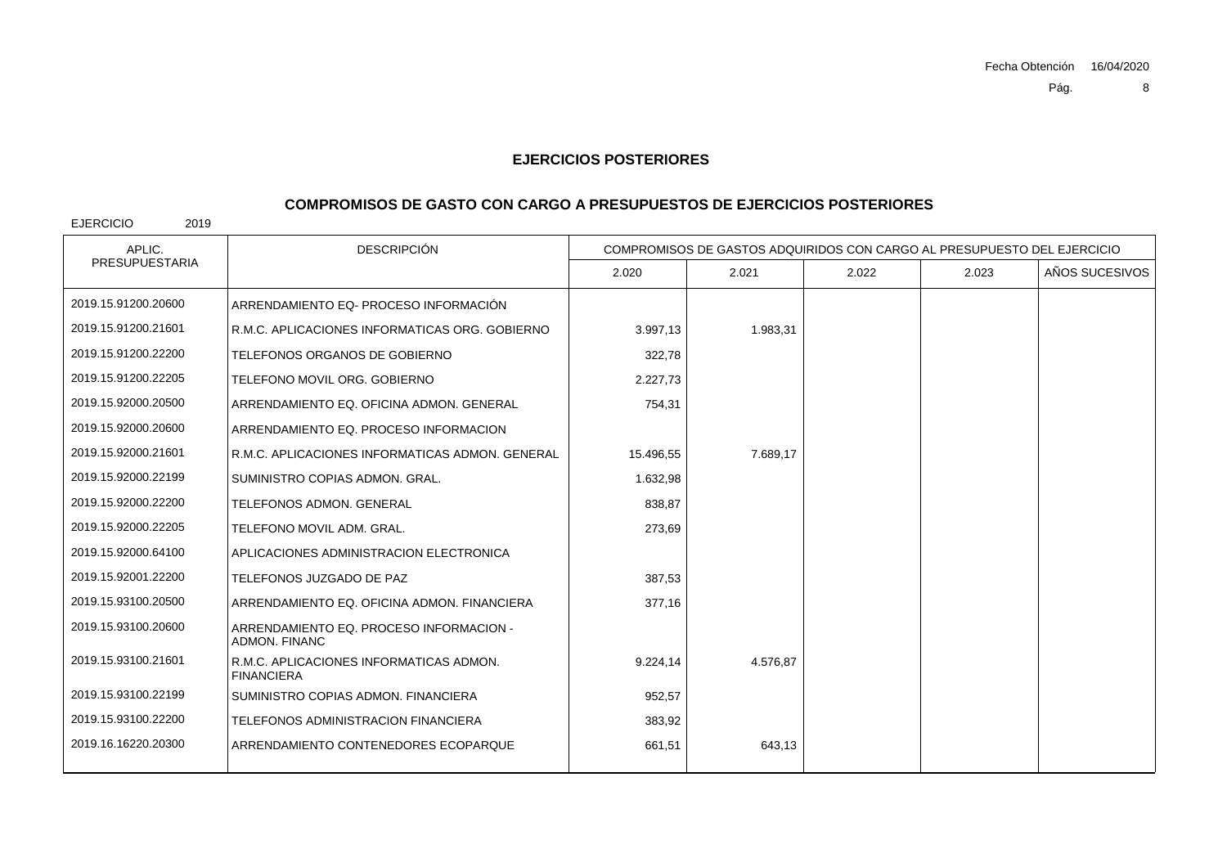## **COMPROMISOS DE GASTO CON CARGO A PRESUPUESTOS DE EJERCICIOS POSTERIORES**

| APLIC.                | <b>DESCRIPCIÓN</b>                                           |           | COMPROMISOS DE GASTOS ADQUIRIDOS CON CARGO AL PRESUPUESTO DEL EJERCICIO |       |       |                |
|-----------------------|--------------------------------------------------------------|-----------|-------------------------------------------------------------------------|-------|-------|----------------|
| <b>PRESUPUESTARIA</b> |                                                              | 2.020     | 2.021                                                                   | 2.022 | 2.023 | AÑOS SUCESIVOS |
| 2019.15.91200.20600   | ARRENDAMIENTO EQ- PROCESO INFORMACIÓN                        |           |                                                                         |       |       |                |
| 2019.15.91200.21601   | R.M.C. APLICACIONES INFORMATICAS ORG. GOBIERNO               | 3.997,13  | 1.983,31                                                                |       |       |                |
| 2019.15.91200.22200   | TELEFONOS ORGANOS DE GOBIERNO                                | 322,78    |                                                                         |       |       |                |
| 2019.15.91200.22205   | TELEFONO MOVIL ORG. GOBIERNO                                 | 2.227,73  |                                                                         |       |       |                |
| 2019.15.92000.20500   | ARRENDAMIENTO EQ. OFICINA ADMON. GENERAL                     | 754,31    |                                                                         |       |       |                |
| 2019.15.92000.20600   | ARRENDAMIENTO EQ. PROCESO INFORMACION                        |           |                                                                         |       |       |                |
| 2019.15.92000.21601   | R.M.C. APLICACIONES INFORMATICAS ADMON. GENERAL              | 15.496.55 | 7.689.17                                                                |       |       |                |
| 2019.15.92000.22199   | SUMINISTRO COPIAS ADMON, GRAL.                               | 1.632,98  |                                                                         |       |       |                |
| 2019.15.92000.22200   | <b>TELEFONOS ADMON, GENERAL</b>                              | 838,87    |                                                                         |       |       |                |
| 2019.15.92000.22205   | TELEFONO MOVIL ADM. GRAL.                                    | 273,69    |                                                                         |       |       |                |
| 2019.15.92000.64100   | APLICACIONES ADMINISTRACION ELECTRONICA                      |           |                                                                         |       |       |                |
| 2019.15.92001.22200   | TELEFONOS JUZGADO DE PAZ                                     | 387,53    |                                                                         |       |       |                |
| 2019.15.93100.20500   | ARRENDAMIENTO EQ. OFICINA ADMON. FINANCIERA                  | 377,16    |                                                                         |       |       |                |
| 2019.15.93100.20600   | ARRENDAMIENTO EQ. PROCESO INFORMACION -<br>ADMON, FINANC     |           |                                                                         |       |       |                |
| 2019.15.93100.21601   | R.M.C. APLICACIONES INFORMATICAS ADMON.<br><b>FINANCIERA</b> | 9.224,14  | 4.576,87                                                                |       |       |                |
| 2019.15.93100.22199   | SUMINISTRO COPIAS ADMON, FINANCIERA                          | 952,57    |                                                                         |       |       |                |
| 2019.15.93100.22200   | TELEFONOS ADMINISTRACION FINANCIERA                          | 383,92    |                                                                         |       |       |                |
| 2019.16.16220.20300   | ARRENDAMIENTO CONTENEDORES ECOPARQUE                         | 661,51    | 643,13                                                                  |       |       |                |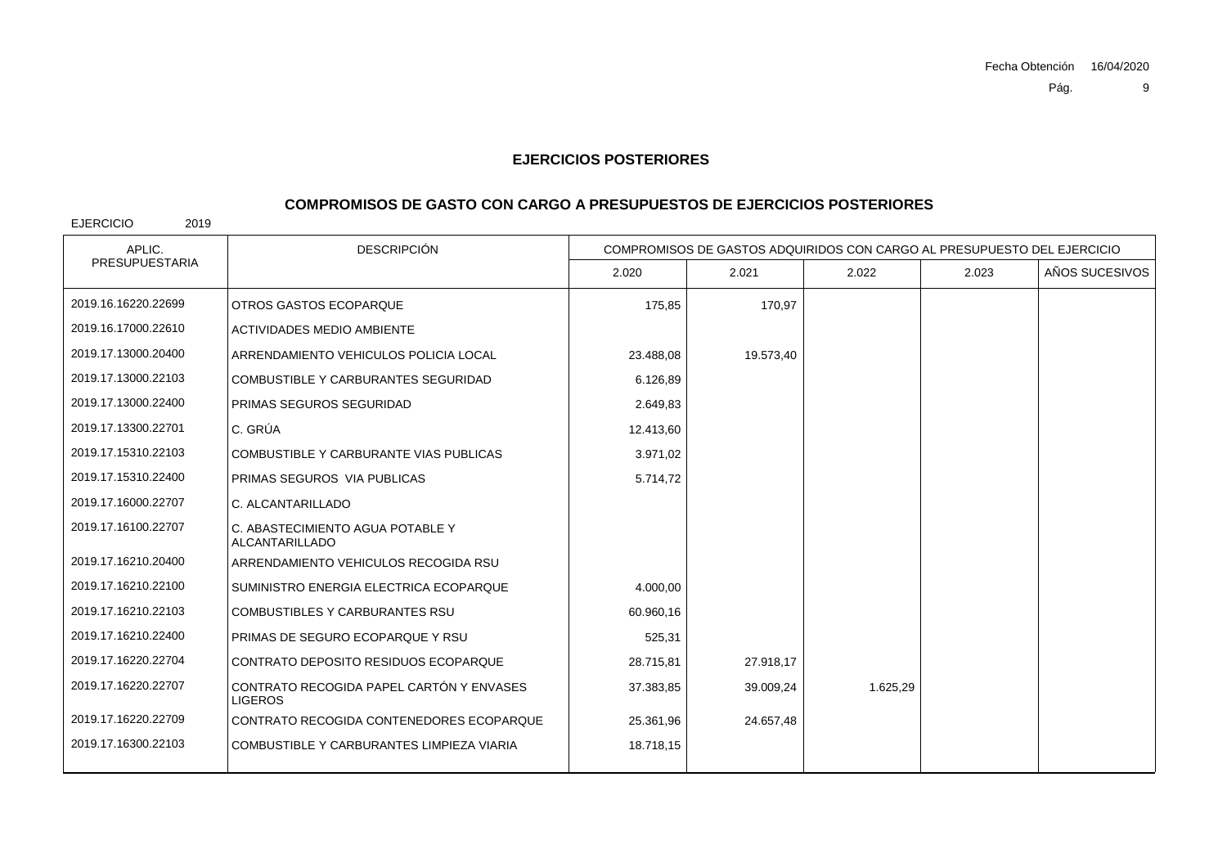# **COMPROMISOS DE GASTO CON CARGO A PRESUPUESTOS DE EJERCICIOS POSTERIORES**

| APLIC.                | <b>DESCRIPCIÓN</b>                                         | COMPROMISOS DE GASTOS ADQUIRIDOS CON CARGO AL PRESUPUESTO DEL EJERCICIO |           |          |       |                |
|-----------------------|------------------------------------------------------------|-------------------------------------------------------------------------|-----------|----------|-------|----------------|
| <b>PRESUPUESTARIA</b> |                                                            | 2.020                                                                   | 2.021     | 2.022    | 2.023 | AÑOS SUCESIVOS |
| 2019.16.16220.22699   | OTROS GASTOS ECOPARQUE                                     | 175,85                                                                  | 170.97    |          |       |                |
| 2019.16.17000.22610   | <b>ACTIVIDADES MEDIO AMBIENTE</b>                          |                                                                         |           |          |       |                |
| 2019.17.13000.20400   | ARRENDAMIENTO VEHICULOS POLICIA LOCAL                      | 23.488.08                                                               | 19.573,40 |          |       |                |
| 2019.17.13000.22103   | COMBUSTIBLE Y CARBURANTES SEGURIDAD                        | 6.126,89                                                                |           |          |       |                |
| 2019.17.13000.22400   | PRIMAS SEGUROS SEGURIDAD                                   | 2.649,83                                                                |           |          |       |                |
| 2019.17.13300.22701   | C. GRÚA                                                    | 12.413,60                                                               |           |          |       |                |
| 2019.17.15310.22103   | COMBUSTIBLE Y CARBURANTE VIAS PUBLICAS                     | 3.971,02                                                                |           |          |       |                |
| 2019.17.15310.22400   | PRIMAS SEGUROS VIA PUBLICAS                                | 5.714,72                                                                |           |          |       |                |
| 2019.17.16000.22707   | C. ALCANTARILLADO                                          |                                                                         |           |          |       |                |
| 2019.17.16100.22707   | C. ABASTECIMIENTO AGUA POTABLE Y<br><b>ALCANTARILLADO</b>  |                                                                         |           |          |       |                |
| 2019.17.16210.20400   | ARRENDAMIENTO VEHICULOS RECOGIDA RSU                       |                                                                         |           |          |       |                |
| 2019.17.16210.22100   | SUMINISTRO ENERGIA ELECTRICA ECOPARQUE                     | 4.000,00                                                                |           |          |       |                |
| 2019.17.16210.22103   | <b>COMBUSTIBLES Y CARBURANTES RSU</b>                      | 60.960,16                                                               |           |          |       |                |
| 2019.17.16210.22400   | PRIMAS DE SEGURO ECOPARQUE Y RSU                           | 525,31                                                                  |           |          |       |                |
| 2019.17.16220.22704   | CONTRATO DEPOSITO RESIDUOS ECOPARQUE                       | 28.715,81                                                               | 27.918,17 |          |       |                |
| 2019.17.16220.22707   | CONTRATO RECOGIDA PAPEL CARTÓN Y ENVASES<br><b>LIGEROS</b> | 37.383,85                                                               | 39.009,24 | 1.625,29 |       |                |
| 2019.17.16220.22709   | CONTRATO RECOGIDA CONTENEDORES ECOPARQUE                   | 25.361,96                                                               | 24.657,48 |          |       |                |
| 2019.17.16300.22103   | COMBUSTIBLE Y CARBURANTES LIMPIEZA VIARIA                  | 18.718,15                                                               |           |          |       |                |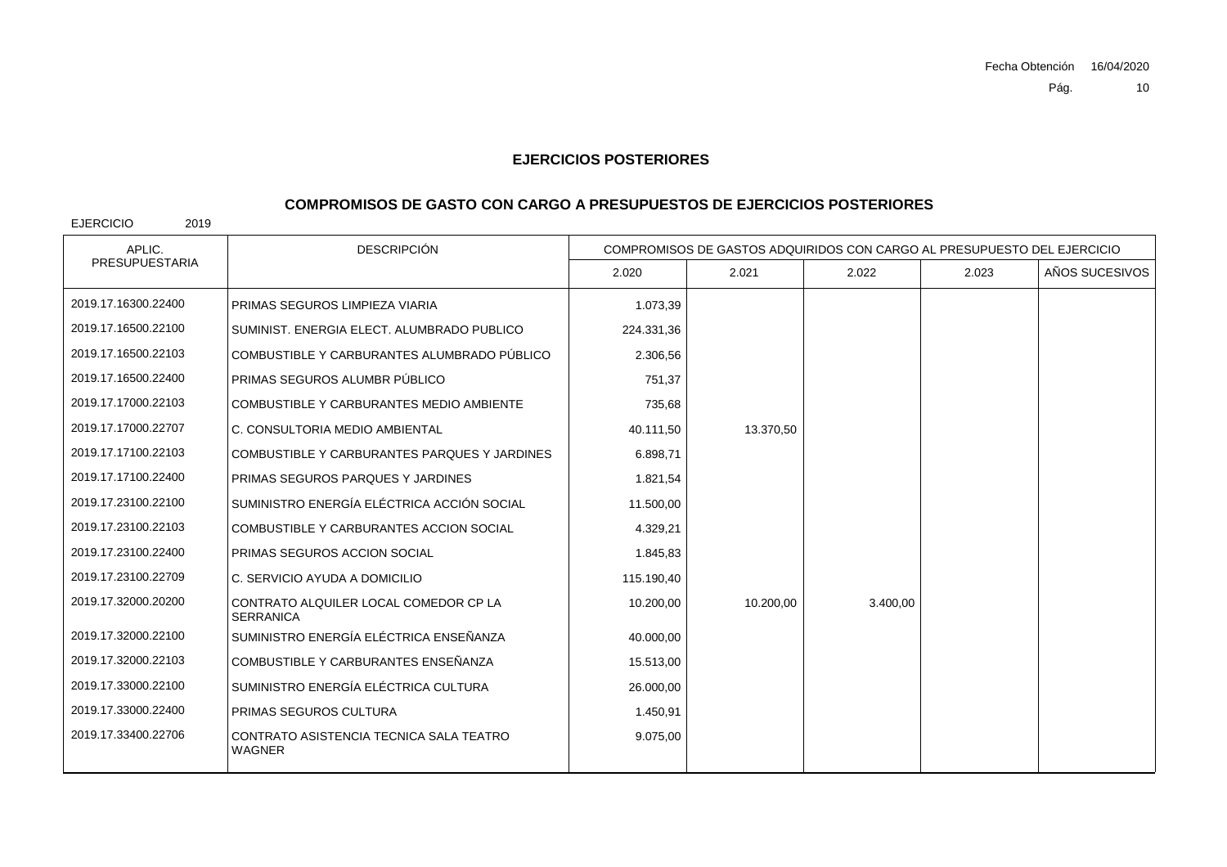## **COMPROMISOS DE GASTO CON CARGO A PRESUPUESTOS DE EJERCICIOS POSTERIORES**

| APLIC.                | <b>DESCRIPCIÓN</b>                                        | COMPROMISOS DE GASTOS ADQUIRIDOS CON CARGO AL PRESUPUESTO DEL EJERCICIO |           |          |       |                |
|-----------------------|-----------------------------------------------------------|-------------------------------------------------------------------------|-----------|----------|-------|----------------|
| <b>PRESUPUESTARIA</b> |                                                           | 2.020                                                                   | 2.021     | 2.022    | 2.023 | AÑOS SUCESIVOS |
| 2019.17.16300.22400   | PRIMAS SEGUROS LIMPIEZA VIARIA                            | 1.073,39                                                                |           |          |       |                |
| 2019.17.16500.22100   | SUMINIST, ENERGIA ELECT, ALUMBRADO PUBLICO                | 224.331,36                                                              |           |          |       |                |
| 2019.17.16500.22103   | COMBUSTIBLE Y CARBURANTES ALUMBRADO PÚBLICO               | 2.306,56                                                                |           |          |       |                |
| 2019.17.16500.22400   | PRIMAS SEGUROS ALUMBR PÚBLICO                             | 751,37                                                                  |           |          |       |                |
| 2019.17.17000.22103   | COMBUSTIBLE Y CARBURANTES MEDIO AMBIENTE                  | 735,68                                                                  |           |          |       |                |
| 2019.17.17000.22707   | C. CONSULTORIA MEDIO AMBIENTAL                            | 40.111,50                                                               | 13.370,50 |          |       |                |
| 2019.17.17100.22103   | COMBUSTIBLE Y CARBURANTES PARQUES Y JARDINES              | 6.898,71                                                                |           |          |       |                |
| 2019.17.17100.22400   | PRIMAS SEGUROS PARQUES Y JARDINES                         | 1.821,54                                                                |           |          |       |                |
| 2019.17.23100.22100   | SUMINISTRO ENERGÍA ELÉCTRICA ACCIÓN SOCIAL                | 11.500,00                                                               |           |          |       |                |
| 2019.17.23100.22103   | COMBUSTIBLE Y CARBURANTES ACCION SOCIAL                   | 4.329,21                                                                |           |          |       |                |
| 2019.17.23100.22400   | PRIMAS SEGUROS ACCION SOCIAL                              | 1.845,83                                                                |           |          |       |                |
| 2019.17.23100.22709   | C. SERVICIO AYUDA A DOMICILIO                             | 115.190,40                                                              |           |          |       |                |
| 2019.17.32000.20200   | CONTRATO ALQUILER LOCAL COMEDOR CP LA<br><b>SERRANICA</b> | 10.200,00                                                               | 10.200.00 | 3.400.00 |       |                |
| 2019.17.32000.22100   | SUMINISTRO ENERGÍA ELÉCTRICA ENSEÑANZA                    | 40.000,00                                                               |           |          |       |                |
| 2019.17.32000.22103   | COMBUSTIBLE Y CARBURANTES ENSEÑANZA                       | 15.513,00                                                               |           |          |       |                |
| 2019.17.33000.22100   | SUMINISTRO ENERGÍA ELÉCTRICA CULTURA                      | 26.000,00                                                               |           |          |       |                |
| 2019.17.33000.22400   | PRIMAS SEGUROS CULTURA                                    | 1.450,91                                                                |           |          |       |                |
| 2019.17.33400.22706   | CONTRATO ASISTENCIA TECNICA SALA TEATRO<br><b>WAGNER</b>  | 9.075,00                                                                |           |          |       |                |